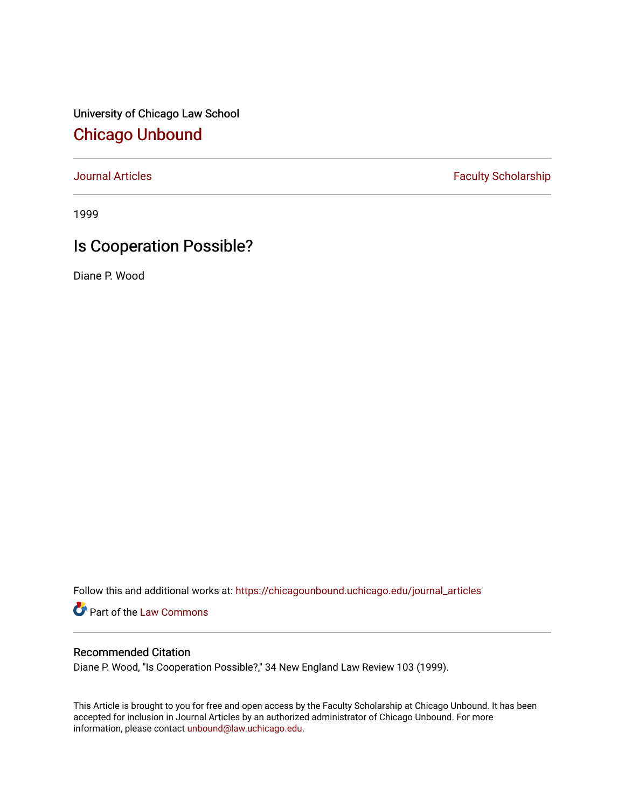University of Chicago Law School [Chicago Unbound](https://chicagounbound.uchicago.edu/)

[Journal Articles](https://chicagounbound.uchicago.edu/journal_articles) **Faculty Scholarship Faculty Scholarship** 

1999

# Is Cooperation Possible?

Diane P. Wood

Follow this and additional works at: [https://chicagounbound.uchicago.edu/journal\\_articles](https://chicagounbound.uchicago.edu/journal_articles?utm_source=chicagounbound.uchicago.edu%2Fjournal_articles%2F2039&utm_medium=PDF&utm_campaign=PDFCoverPages) 

Part of the [Law Commons](http://network.bepress.com/hgg/discipline/578?utm_source=chicagounbound.uchicago.edu%2Fjournal_articles%2F2039&utm_medium=PDF&utm_campaign=PDFCoverPages)

### Recommended Citation

Diane P. Wood, "Is Cooperation Possible?," 34 New England Law Review 103 (1999).

This Article is brought to you for free and open access by the Faculty Scholarship at Chicago Unbound. It has been accepted for inclusion in Journal Articles by an authorized administrator of Chicago Unbound. For more information, please contact [unbound@law.uchicago.edu](mailto:unbound@law.uchicago.edu).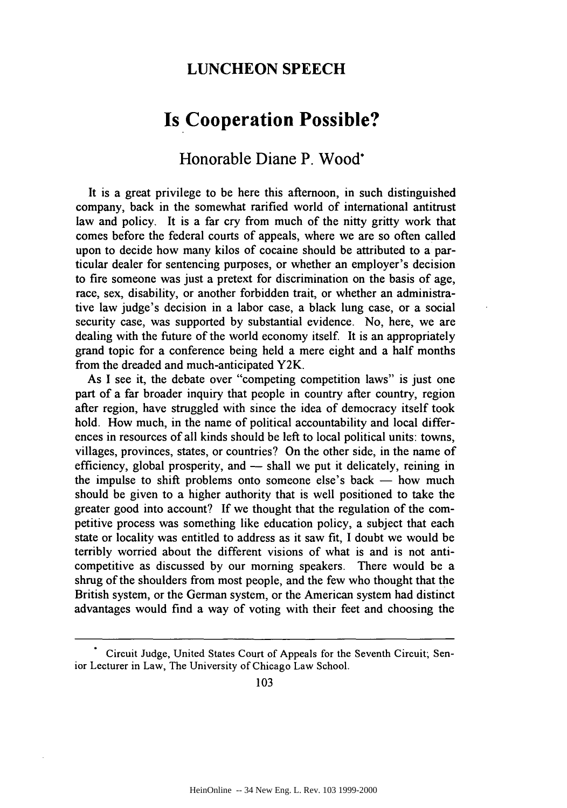## **LUNCHEON SPEECH**

# **Is Cooperation Possible?**

## Honorable Diane P. Wood\*

It is a great privilege to be here this afternoon, in such distinguished company, back in the somewhat rarified world of international antitrust law and policy. It is a far cry from much of the nitty gritty work that comes before the federal courts of appeals, where we are so often called upon to decide how many kilos of cocaine should be attributed to a particular dealer for sentencing purposes, or whether an employer's decision to fire someone was just a pretext for discrimination on the basis of age, race, sex, disability, or another forbidden trait, or whether an administrative law judge's decision in a labor case, a black lung case, or a social security case, was supported **by** substantial evidence. No, here, we are dealing with the future of the world economy itself. It is an appropriately grand topic for a conference being held a mere eight and a half months from the dreaded and much-anticipated Y2K.

As I see it, the debate over "competing competition laws" is just one part of a far broader inquiry that people in country after country, region after region, have struggled with since the idea of democracy itself took hold. How much, in the name of political accountability and local differences in resources of all kinds should be left to local political units: towns, villages, provinces, states, or countries? On the other side, in the name of efficiency, global prosperity, and — shall we put it delicately, reining in the impulse to shift problems onto someone else's back  $-$  how much should be given to a higher authority that is well positioned to take the greater good into account? If we thought that the regulation of the competitive process was something like education policy, a subject that each state or locality was entitled to address as it saw fit, I doubt we would be terribly worried about the different visions of what is and is not anticompetitive as discussed by our morning speakers. There would be a shrug of the shoulders from most people, and the few who thought that the British system, or the German system, or the American system had distinct advantages would find a way of voting with their feet and choosing the

103

Circuit Judge, United States Court of Appeals for the Seventh Circuit; Senior Lecturer in Law, The University of Chicago Law School.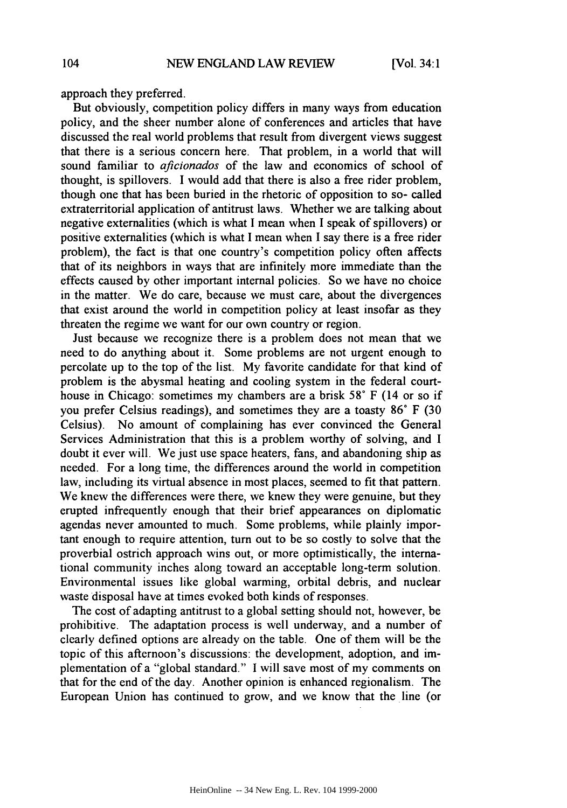approach they preferred.

But obviously, competition policy differs in many ways from education policy, and the sheer number alone of conferences and articles that have discussed the real world problems that result from divergent views suggest that there is a serious concern here. That problem, in a world that will sound familiar to *aficionados* of the law and economics of school of thought, is spillovers. I would add that there is also a free rider problem, though one that has been buried in the rhetoric of opposition to so- called extraterritorial application of antitrust laws. Whether we are talking about negative externalities (which is what I mean when I speak of spillovers) or positive externalities (which is what I mean when I say there is a free rider problem), the fact is that one country's competition policy often affects that of its neighbors in ways that are infinitely more immediate than the effects caused by other important internal policies. So we have no choice in the matter. We do care, because we must care, about the divergences that exist around the world in competition policy at least insofar as they threaten the regime we want for our own country or region.

Just because we recognize there is a problem does not mean that we need to do anything about it. Some problems are not urgent enough to percolate up to the top of the list. My favorite candidate for that kind of problem is the abysmal heating and cooling system in the federal courthouse in Chicago: sometimes my chambers are a brisk 58° F (14 or so if you prefer Celsius readings), and sometimes they are a toasty 86° F (30 Celsius). No amount of complaining has ever convinced the General Services Administration that this is a problem worthy of solving, and I doubt it ever will. We just use space heaters, fans, and abandoning ship as needed. For a long time, the differences around the world in competition law, including its virtual absence in most places, seemed to fit that pattern. We knew the differences were there, we knew they were genuine, but they erupted infrequently enough that their brief appearances on diplomatic agendas never amounted to much. Some problems, while plainly important enough to require attention, turn out to be so costly to solve that the proverbial ostrich approach wins out, or more optimistically, the international community inches along toward an acceptable long-term solution. Environmental issues like global warming, orbital debris, and nuclear waste disposal have at times evoked both kinds of responses.

The cost of adapting antitrust to a global setting should not, however, be prohibitive. The adaptation process is well underway, and a number of clearly defined options are already on the table. One of them will be the topic of this afternoon's discussions: the development, adoption, and implementation of a "global standard." I will save most of my comments on that for the end of the day. Another opinion is enhanced regionalism. The European Union has continued to grow, and we know that the line (or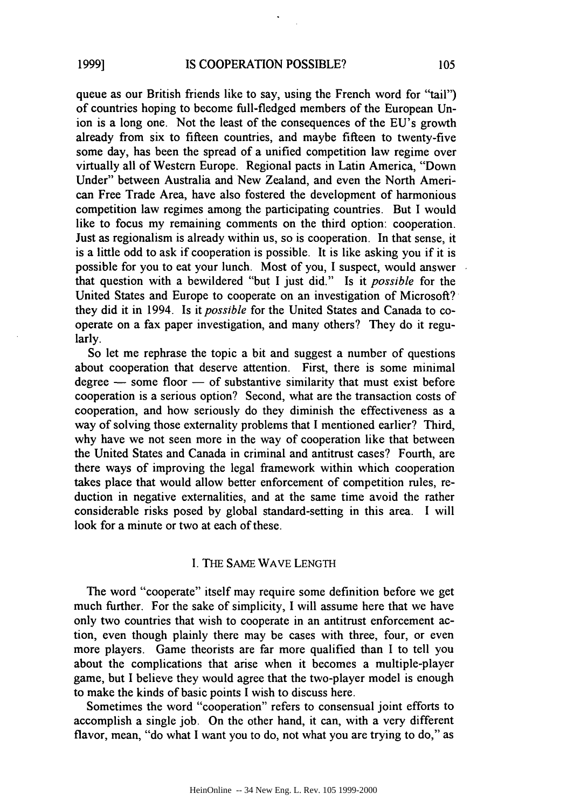queue as our British friends like to say, using the French word for "tail") of countries hoping to become full-fledged members of the European Union is a long one. Not the least of the consequences of the EU's growth already from six to fifteen countries, and maybe fifteen to twenty-five some day, has been the spread of a unified competition law regime over virtually all of Western Europe. Regional pacts in Latin America, "Down Under" between Australia and New Zealand, and even the North American Free Trade Area, have also fostered the development of harmonious competition law regimes among the participating countries. But I would like to focus my remaining comments on the third option: cooperation. Just as regionalism is already within us, so is cooperation. In that sense, it is a little odd to ask if cooperation is possible. It is like asking you if it is possible for you to eat your lunch. Most of you, I suspect, would answer that question with a bewildered "but I just did." Is it *possible* for the United States and Europe to cooperate on an investigation of Microsoft? they did it in 1994. Is it *possible* for the United States and Canada to cooperate on a fax paper investigation, and many others? They do it regularly.

So let me rephrase the topic a bit and suggest a number of questions about cooperation that deserve attention. First, there is some minimal  $degree - some floor - of substitute similarity that must exist before$ cooperation is a serious option? Second, what are the transaction costs of cooperation, and how seriously do they diminish the effectiveness as a way of solving those externality problems that I mentioned earlier? Third, why have we not seen more in the way of cooperation like that between the United States and Canada in criminal and antitrust cases? Fourth, are there ways of improving the legal framework within which cooperation takes place that would allow better enforcement of competition rules, reduction in negative externalities, and at the same time avoid the rather considerable risks posed by global standard-setting in this area. I will look for a minute or two at each of these.

#### I. THE SAME WAVE LENGTH

The word "cooperate" itself may require some definition before we get much further. For the sake of simplicity, I will assume here that we have only two countries that wish to cooperate in an antitrust enforcement action, even though plainly there may be cases with three, four, or even more players. Game theorists are far more qualified than I to tell you about the complications that arise when it becomes a multiple-player game, but I believe they would agree that the two-player model is enough to make the kinds of basic points I wish to discuss here.

Sometimes the word "cooperation" refers to consensual joint efforts to accomplish a single job. On the other hand, it can, with a very different flavor, mean, "do what I want you to do, not what you are trying to do," as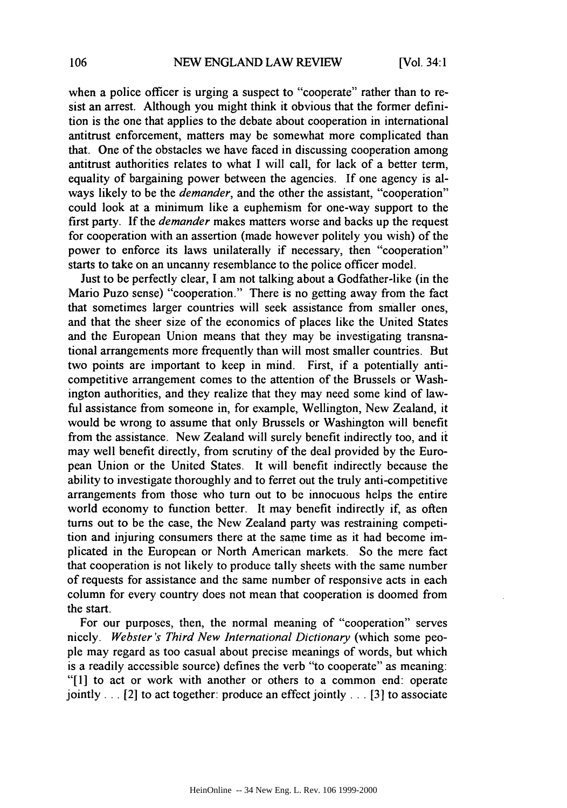when a police officer is urging a suspect to "cooperate" rather than to resist an arrest. Although you might think it obvious that the former definition is the one that applies to the debate about cooperation in international antitrust enforcement, matters may be somewhat more complicated than that. One of the obstacles we have faced in discussing cooperation among antitrust authorities relates to what I will call, for lack of a better term, equality of bargaining power between the agencies. If one agency is always likely to be the *demander,* and the other the assistant, "cooperation" could look at a minimum like a euphemism for one-way support to the first party. If the *demander* makes matters worse and backs up the request for cooperation with an assertion (made however politely you wish) of the power to enforce its laws unilaterally if necessary, then "cooperation" starts to take on an uncanny resemblance to the police officer model.

Just to be perfectly clear, I am not talking about a Godfather-like (in the Mario Puzo sense) "cooperation." There is no getting away from the fact that sometimes larger countries will seek assistance from smaller ones, and that the sheer size of the economics of places like the United States and the European Union means that they may be investigating transnational arrangements more frequently than will most smaller countries. But two points are important to keep in mind. First, if a potentially anticompetitive arrangement comes to the attention of the Brussels or Washington authorities, and they realize that they may need some kind of lawful assistance from someone in, for example, Wellington, New Zealand, it would be wrong to assume that only Brussels or Washington will benefit from the assistance. New Zealand will surely benefit indirectly too, and it may well benefit directly, from scrutiny of the deal provided by the European Union or the United States. It will benefit indirectly because the ability to investigate thoroughly and to ferret out the truly anti-competitive arrangements from those who turn out to be innocuous helps the entire world economy to function better. It may benefit indirectly if, as often turns out to be the case, the New Zealand party was restraining competition and injuring consumers there at the same time as it had become implicated in the European or North American markets. So the mere fact that cooperation is not likely to produce tally sheets with the same number of requests for assistance and the same number of responsive acts in each column for every country does not mean that cooperation is doomed from the start.

For our purposes, then, the normal meaning of "cooperation" serves nicely. *Webster's Third New International Dictionary* (which some people may regard as too casual about precise meanings of words, but which is a readily accessible source) defines the verb "to cooperate" as meaning: "[1] to act or work with another or others to a common end: operate jointly ... [2] to act together: produce an effect jointly ... **[3]** to associate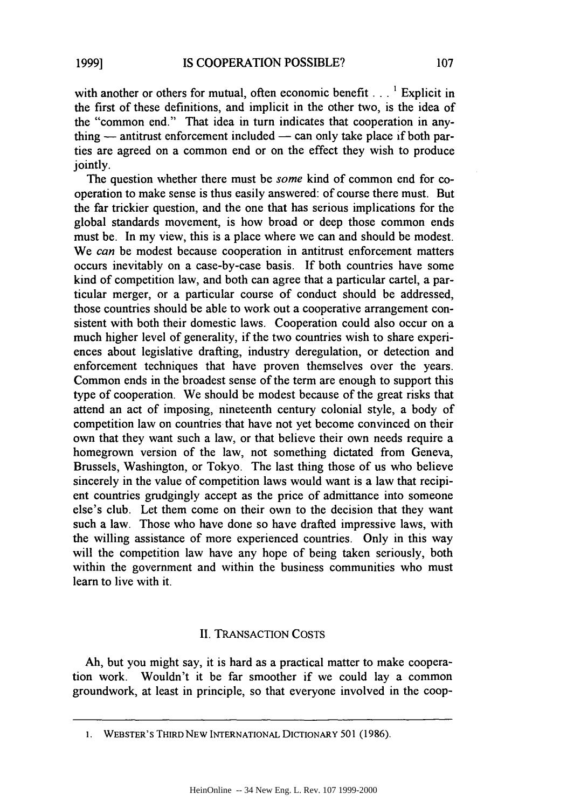with another or others for mutual, often economic benefit  $\ldots$ <sup>1</sup> Explicit in the first of these definitions, and implicit in the other two, is the idea of the "common end." That idea in turn indicates that cooperation in anything  $-$  antitrust enforcement included  $-$  can only take place if both parties are agreed on a common end or on the effect they wish to produce jointly.

The question whether there must be *some* kind of common end for cooperation to make sense is thus easily answered: of course there must. But the far trickier question, and the one that has serious implications for the global standards movement, is how broad or deep those common ends must be. In my view, this is a place where we can and should be modest. We *can* be modest because cooperation in antitrust enforcement matters occurs inevitably on a case-by-case basis. If both countries have some kind of competition law, and both can agree that a particular cartel, a particular merger, or a particular course of conduct should be addressed, those countries should be able to work out a cooperative arrangement consistent with both their domestic laws. Cooperation could also occur on a much higher level of generality, if the two countries wish to share experiences about legislative drafting, industry deregulation, or detection and enforcement techniques that have proven themselves over the years. Common ends in the broadest sense of the term are enough to support this type of cooperation. We should be modest because of the great risks that attend an act of imposing, nineteenth century colonial style, a body of competition law on countries that have not yet become convinced on their own that they want such a law, or that believe their own needs require a homegrown version of the law, not something dictated from Geneva, Brussels, Washington, or Tokyo. The last thing those of us who believe sincerely in the value of competition laws would want is a law that recipient countries grudgingly accept as the price of admittance into someone else's club. Let them come on their own to the decision that they want such a law. Those who have done so have drafted impressive laws, with the willing assistance of more experienced countries. Only in this way will the competition law have any hope of being taken seriously, both within the government and within the business communities who must learn to live with it.

#### II. TRANSACTION COSTS

Ah, but you might say, it is hard as a practical matter to make cooperation work. Wouldn't it be far smoother if we could lay a common groundwork, at least in principle, so that everyone involved in the coop-

<sup>1.</sup> WEBSTER'S THIRD **NEW** INTERNATIONAL DICTIONARY **501** (1986).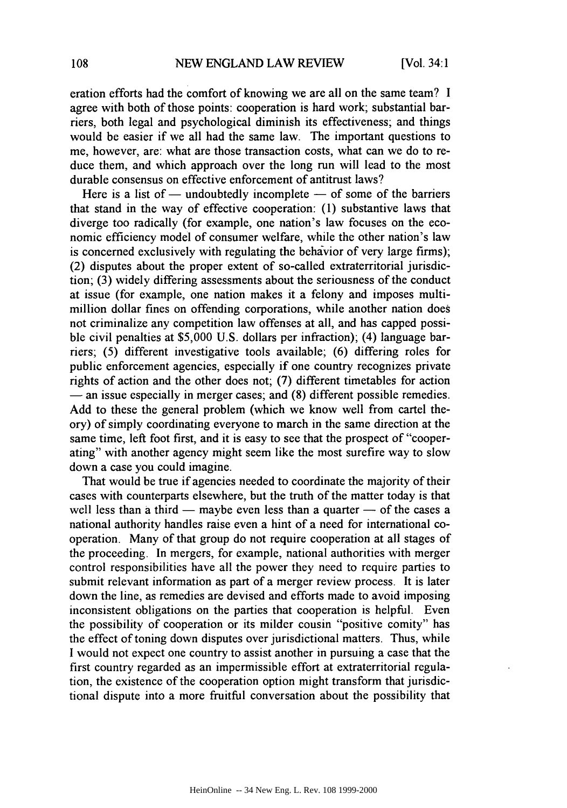eration efforts had the comfort of knowing we are all on the same team? I agree with both of those points: cooperation is hard work; substantial barriers, both legal and psychological diminish its effectiveness; and things would be easier if we all had the same law. The important questions to me, however, are: what are those transaction costs, what can we do to reduce them, and which approach over the long run will lead to the most durable consensus on effective enforcement of antitrust laws?

Here is a list of  $-$  undoubtedly incomplete  $-$  of some of the barriers that stand in the way of effective cooperation: (1) substantive laws that diverge too radically (for example, one nation's law focuses on the economic efficiency model of consumer welfare, while the other nation's law is concerned exclusively with regulating the behavior of very large firms); (2) disputes about the proper extent of so-called extraterritorial jurisdiction; (3) widely differing assessments about the seriousness of the conduct at issue (for example, one nation makes it a felony and imposes multimillion dollar fines on offending corporations, while another nation does not criminalize any competition law offenses at all, and has capped possible civil penalties at \$5,000 U.S. dollars per infraction); (4) language barriers; (5) different investigative tools available; (6) differing roles for public enforcement agencies, especially if one country recognizes private rights of action and the other does not; (7) different timetables for action **-** an issue especially in merger cases; and (8) different possible remedies. Add to these the general problem (which we know well from cartel theory) of simply coordinating everyone to march in the same direction at the same time, left foot first, and it is easy to see that the prospect of "cooperating" with another agency might seem like the most surefire way to slow down a case you could imagine.

That would be true if agencies needed to coordinate the majority of their cases with counterparts elsewhere, but the truth of the matter today is that well less than a third  $-$  maybe even less than a quarter  $-$  of the cases a national authority handles raise even a hint of a need for international cooperation. Many of that group do not require cooperation at all stages of the proceeding. In mergers, for example, national authorities with merger control responsibilities have all the power they need to require parties to submit relevant information as part of a merger review process. It is later down the line, as remedies are devised and efforts made to avoid imposing inconsistent obligations on the parties that cooperation is helpful. Even the possibility of cooperation or its milder cousin "positive comity" has the effect of toning down disputes over jurisdictional matters. Thus, while I would not expect one country to assist another in pursuing a case that the first country regarded as an impermissible effort at extraterritorial regulation, the existence of the cooperation option might transform that jurisdictional dispute into a more fruitful conversation about the possibility that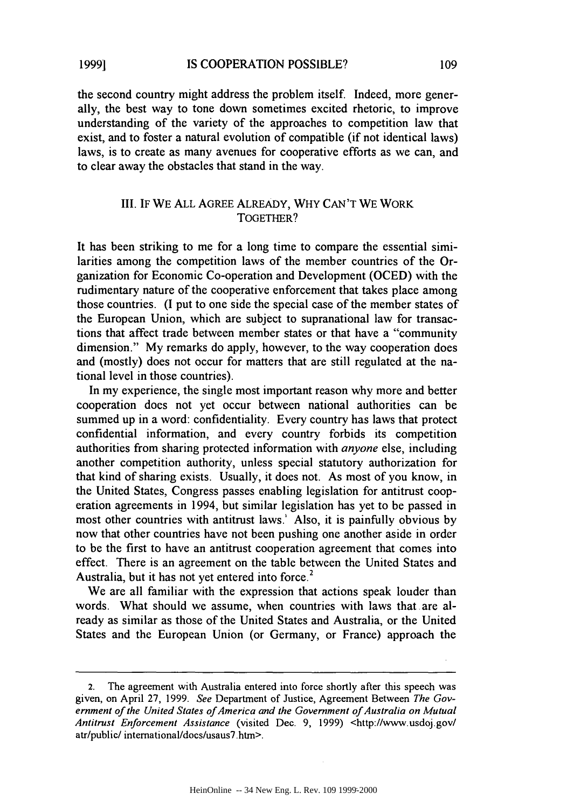**1999]**

the second country might address the problem itself. Indeed, more generally, the best way to tone down sometimes excited rhetoric, to improve understanding of the variety of the approaches to competition law that exist, and to foster a natural evolution of compatible (if not identical laws) laws, is to create as many avenues for cooperative efforts as we can, and to clear away the obstacles that stand in the way.

### III. IF WE ALL AGREE ALREADY, WHY CAN'T WE WORK TOGETHER?

It has been striking to me for a long time to compare the essential similarities among the competition laws of the member countries of the Organization for Economic Co-operation and Development (OCED) with the rudimentary nature of the cooperative enforcement that takes place among those countries. (I put to one side the special case of the member states of the European Union, which are subject to supranational law for transactions that affect trade between member states or that have a "community dimension." My remarks do apply, however, to the way cooperation does and (mostly) does not occur for matters that are still regulated at the national level in those countries).

In my experience, the single most important reason why more and better cooperation does not yet occur between national authorities can be summed up in a word: confidentiality. Every country has laws that protect confidential information, and every country forbids its competition authorities from sharing protected information with *anyone* else, including another competition authority, unless special statutory authorization for that kind of sharing exists. Usually, it does not. As most of you know, in the United States, Congress passes enabling legislation for antitrust cooperation agreements in 1994, but similar legislation has yet to be passed in most other countries with antitrust laws. Also, it is painfully obvious by now that other countries have not been pushing one another aside in order to be the first to have an antitrust cooperation agreement that comes into effect. There is an agreement on the table between the United States and Australia, but it has not yet entered into force.<sup>2</sup>

We are all familiar with the expression that actions speak louder than words. What should we assume, when countries with laws that are already as similar as those of the United States and Australia, or the United States and the European Union (or Germany, or France) approach the

The agreement with Australia entered into force shortly after this speech was given, on April 27, 1999. *See* Department of Justice, Agreement Between *The Government of* the *United States of America and the Government of Australia on Mutual Antitrust Enforcement Assistance* (visited Dec. 9, 1999) <http://www.usdoj.gov/ atr/public/ intemational/docs/usaus7.htm>.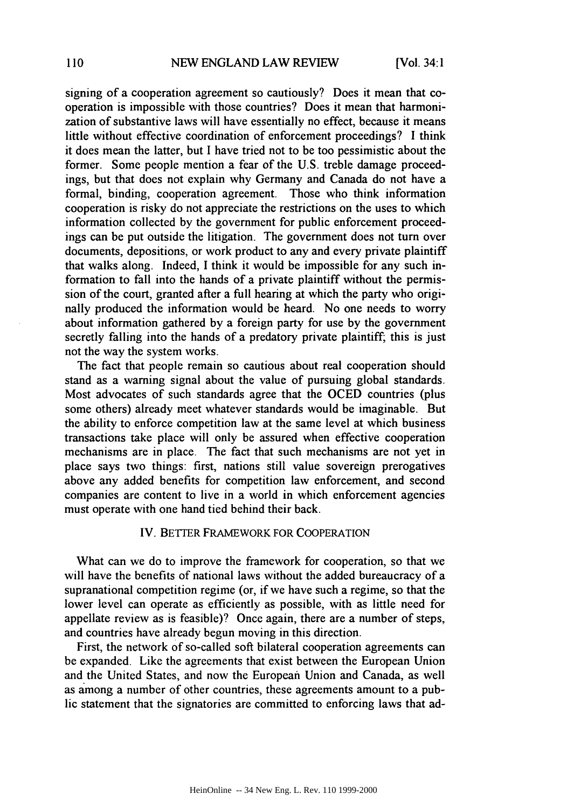signing of a cooperation agreement so cautiously? Does it mean that cooperation is impossible with those countries? Does it mean that harmonization of substantive laws will have essentially no effect, because it means little without effective coordination of enforcement proceedings? I think it does mean the latter, but I have tried not to be too pessimistic about the former. Some people mention a fear of the U.S. treble damage proceedings, but that does not explain why Germany and Canada do not have a formal, binding, cooperation agreement. Those who think information cooperation is risky do not appreciate the restrictions on the uses to which information collected by the government for public enforcement proceedings can be put outside the litigation. The government does not turn over documents, depositions, or work product to any and every private plaintiff that walks along. Indeed, I think it would be impossible for any such information to fall into the hands of a private plaintiff without the permission of the court, granted after a full hearing at which the party who originally produced the information would be heard. No one needs to worry about information gathered by a foreign party for use by the government secretly falling into the hands of a predatory private plaintiff, this is just not the way the system works.

The fact that people remain so cautious about real cooperation should stand as a warning signal about the value of pursuing global standards. Most advocates of such standards agree that the OCED countries (plus some others) already meet whatever standards would be imaginable. But the ability to enforce competition law at the same level at which business transactions take place will only be assured when effective cooperation mechanisms are in place. The fact that such mechanisms are not yet in place says two things: first, nations still value sovereign prerogatives above any added benefits for competition law enforcement, and second companies are content to live in a world in which enforcement agencies must operate with one hand tied behind their back.

#### IV. BETTER FRAMEWORK FOR COOPERATION

What can we do to improve the framework for cooperation, so that we will have the benefits of national laws without the added bureaucracy of a supranational competition regime (or, if we have such a regime, so that the lower level can operate as efficiently as possible, with as little need for appellate review as is feasible)? Once again, there are a number of steps, and countries have already begun moving in this direction.

First, the network of so-called soft bilateral cooperation agreements can be expanded. Like the agreements that exist between the European Union and the United States, and now the European Union and Canada, as well as among a number of other countries, these agreements amount to a public statement that the signatories are committed to enforcing laws that ad-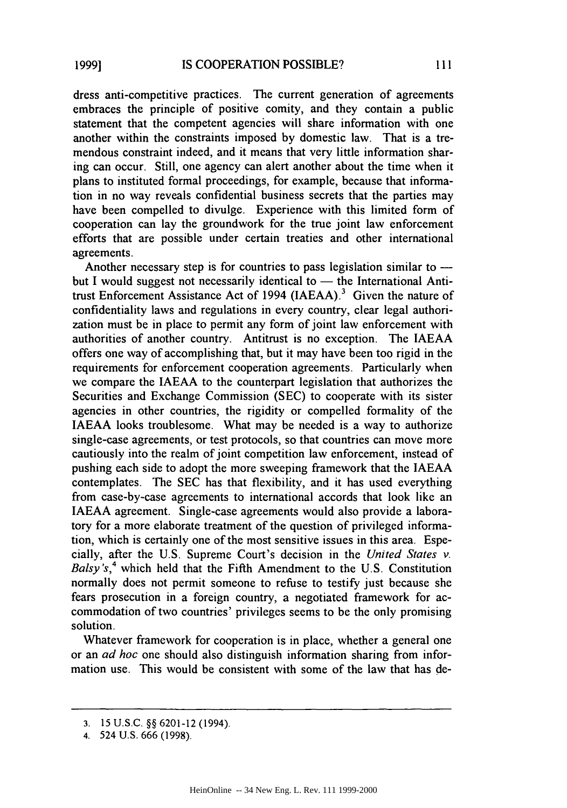dress anti-competitive practices. The current generation of agreements embraces the principle of positive comity, and they contain a public statement that the competent agencies will share information with one another within the constraints imposed by domestic law. That is a tremendous constraint indeed, and it means that very little information sharing can occur. Still, one agency can alert another about the time when it plans to instituted formal proceedings, for example, because that information in no way reveals confidential business secrets that the parties may have been compelled to divulge. Experience with this limited form of cooperation can lay the groundwork for the true joint law enforcement efforts that are possible under certain treaties and other international agreements.

Another necessary step is for countries to pass legislation similar to  $$ but I would suggest not necessarily identical to  $-$  the International Antitrust Enforcement Assistance Act of 1994 (IAEAA).<sup>3</sup> Given the nature of confidentiality laws and regulations in every country, clear legal authorization must be in place to permit any form of joint law enforcement with authorities of another country. Antitrust is no exception. The IAEAA offers one way of accomplishing that, but it may have been too rigid in the requirements for enforcement cooperation agreements. Particularly when we compare the IAEAA to the counterpart legislation that authorizes the Securities and Exchange Commission (SEC) to cooperate with its sister agencies in other countries, the rigidity or compelled formality of the IAEAA looks troublesome. What may be needed is a way to authorize single-case agreements, or test protocols, so that countries can move more cautiously into the realm of joint competition law enforcement, instead of pushing each side to adopt the more sweeping framework that the IAEAA contemplates. The SEC has that flexibility, and it has used everything from case-by-case agreements to international accords that look like an IAEAA agreement. Single-case agreements would also provide a laboratory for a more elaborate treatment of the question of privileged information, which is certainly one of the most sensitive issues in this area. Especially, after the U.S. Supreme Court's decision in the *United States v.* Balsy's,<sup>4</sup> which held that the Fifth Amendment to the U.S. Constitution normally does not permit someone to refuse to testify just because she fears prosecution in a foreign country, a negotiated framework for accommodation of two countries' privileges seems to be the only promising solution.

Whatever framework for cooperation is in place, whether a general one or an *ad hoc* one should also distinguish information sharing from information use. This would be consistent with some of the law that has de-

<sup>3.</sup> 15 U.S.C. §§ 6201-12 (1994).

<sup>4.</sup> 524 U.S. 666 (1998).